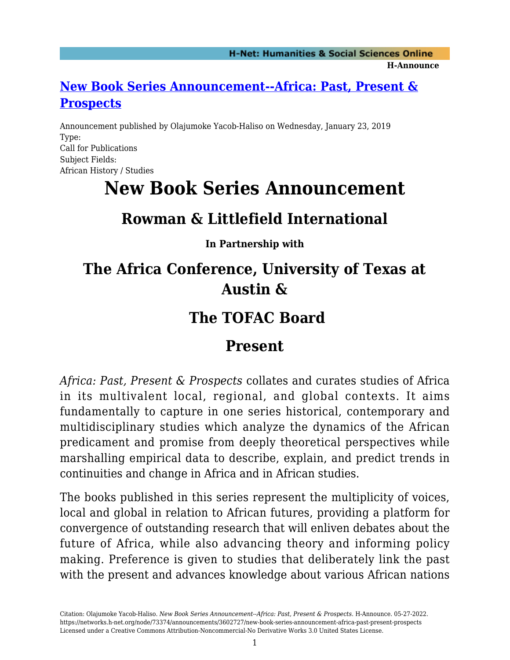#### **[New Book Series Announcement--Africa: Past, Present &](https://networks.h-net.org/node/73374/announcements/3602727/new-book-series-announcement-africa-past-present-prospects) [Prospects](https://networks.h-net.org/node/73374/announcements/3602727/new-book-series-announcement-africa-past-present-prospects)**

Announcement published by Olajumoke Yacob-Haliso on Wednesday, January 23, 2019 Type: Call for Publications Subject Fields: African History / Studies

# **New Book Series Announcement**

## **Rowman & Littlefield International**

**In Partnership with**

# **The Africa Conference, University of Texas at Austin &**

## **The TOFAC Board**

#### **Present**

*Africa: Past, Present & Prospects* collates and curates studies of Africa in its multivalent local, regional, and global contexts. It aims fundamentally to capture in one series historical, contemporary and multidisciplinary studies which analyze the dynamics of the African predicament and promise from deeply theoretical perspectives while marshalling empirical data to describe, explain, and predict trends in continuities and change in Africa and in African studies.

The books published in this series represent the multiplicity of voices, local and global in relation to African futures, providing a platform for convergence of outstanding research that will enliven debates about the future of Africa, while also advancing theory and informing policy making. Preference is given to studies that deliberately link the past with the present and advances knowledge about various African nations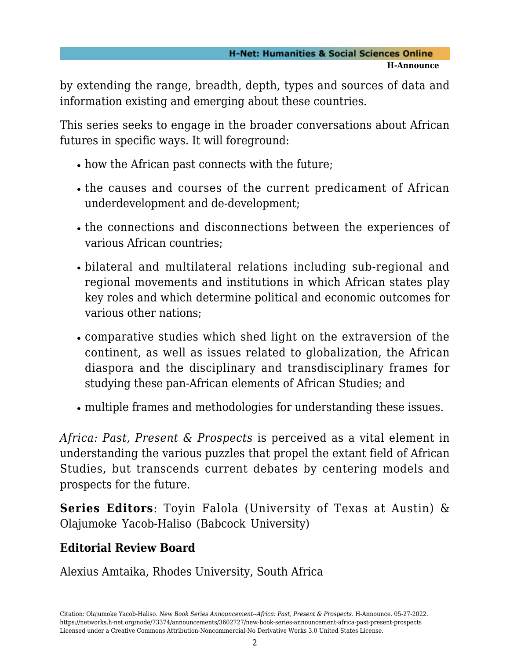by extending the range, breadth, depth, types and sources of data and information existing and emerging about these countries.

This series seeks to engage in the broader conversations about African futures in specific ways. It will foreground:

- how the African past connects with the future;
- the causes and courses of the current predicament of African underdevelopment and de-development;
- the connections and disconnections between the experiences of various African countries;
- bilateral and multilateral relations including sub-regional and regional movements and institutions in which African states play key roles and which determine political and economic outcomes for various other nations;
- comparative studies which shed light on the extraversion of the continent, as well as issues related to globalization, the African diaspora and the disciplinary and transdisciplinary frames for studying these pan-African elements of African Studies; and
- multiple frames and methodologies for understanding these issues.

*Africa: Past, Present & Prospects* is perceived as a vital element in understanding the various puzzles that propel the extant field of African Studies, but transcends current debates by centering models and prospects for the future.

**Series Editors**: Toyin Falola (University of Texas at Austin) & Olajumoke Yacob-Haliso (Babcock University)

#### **Editorial Review Board**

Alexius Amtaika, Rhodes University, South Africa